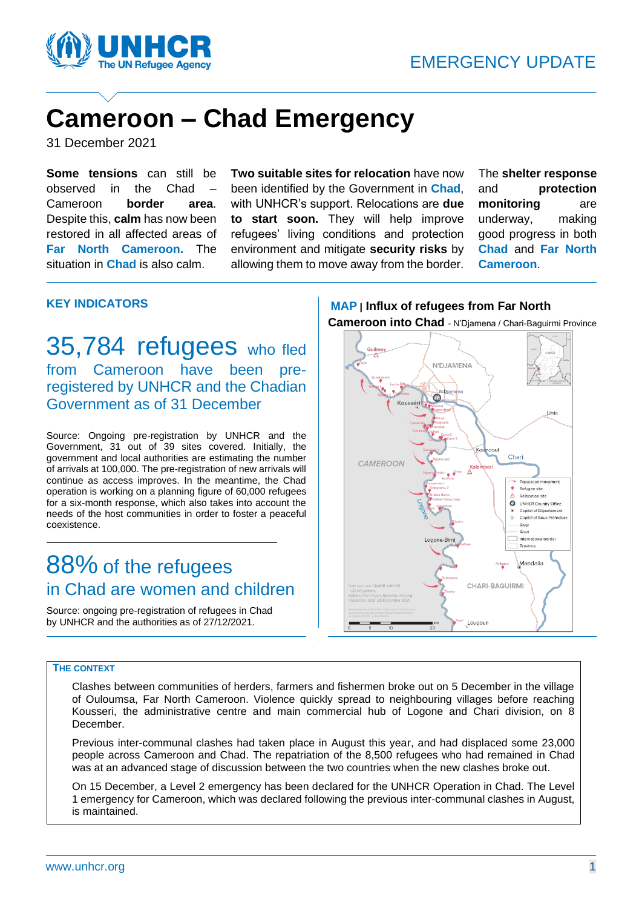

### **Cameroon – Chad Emergency**

31 December 2021

**Some tensions** can still be observed in the Chad – Cameroon **border area**. Despite this, **calm** has now been restored in all affected areas of **Far North Cameroon.** The situation in **Chad** is also calm.

**Two suitable sites for relocation** have now been identified by the Government in **Chad**, with UNHCR's support. Relocations are **due to start soon.** They will help improve refugees' living conditions and protection environment and mitigate **security risks** by allowing them to move away from the border.

The **shelter response** and **protection monitoring** are underway, making good progress in both **Chad** and **Far North Cameroon**.

#### **KEY INDICATORS**

35,784 refugees who fled from Cameroon have been preregistered by UNHCR and the Chadian Government as of 31 December

Source: Ongoing pre-registration by UNHCR and the Government, 31 out of 39 sites covered. Initially, the government and local authorities are estimating the number of arrivals at 100,000. The pre-registration of new arrivals will continue as access improves. In the meantime, the Chad operation is working on a planning figure of 60,000 refugees for a six-month response, which also takes into account the needs of the host communities in order to foster a peaceful coexistence.

### 88% of the refugees in Chad are women and children

Source: ongoing pre-registration of refugees in Chad by UNHCR and the authorities as of 27/12/2021.

#### **MAP | Influx of refugees from Far North Cameroon into Chad** - N'Djamena / Chari-Baguirmi Province



#### **THE CONTEXT**

Clashes between communities of herders, farmers and fishermen broke out on 5 December in the village of Ouloumsa, Far North Cameroon. Violence quickly spread to neighbouring villages before reaching Kousseri, the administrative centre and main commercial hub of Logone and Chari division, on 8 December.

Previous inter-communal clashes had taken place in August this year, and had displaced some 23,000 people across Cameroon and Chad. The repatriation of the 8,500 refugees who had remained in Chad was at an advanced stage of discussion between the two countries when the new clashes broke out.

On 15 December, a Level 2 emergency has been declared for the UNHCR Operation in Chad. The Level 1 emergency for Cameroon, which was declared following the previous inter-communal clashes in August, is maintained.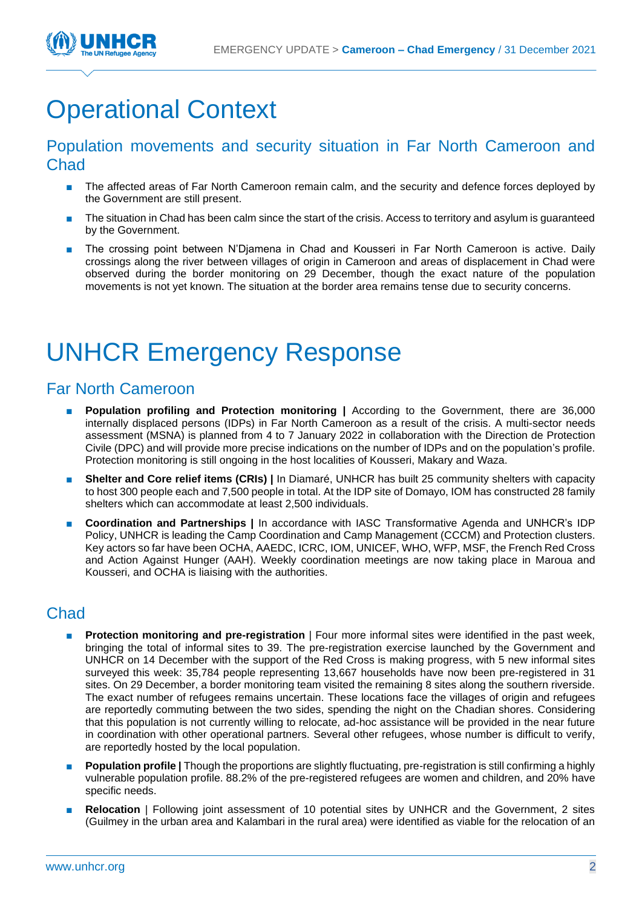

# Operational Context

#### Population movements and security situation in Far North Cameroon and Chad

- The affected areas of Far North Cameroon remain calm, and the security and defence forces deployed by the Government are still present.
- The situation in Chad has been calm since the start of the crisis. Access to territory and asylum is guaranteed by the Government.
- The crossing point between N'Djamena in Chad and Kousseri in Far North Cameroon is active. Daily crossings along the river between villages of origin in Cameroon and areas of displacement in Chad were observed during the border monitoring on 29 December, though the exact nature of the population movements is not yet known. The situation at the border area remains tense due to security concerns.

# UNHCR Emergency Response

### Far North Cameroon

- **Population profiling and Protection monitoring |** According to the Government, there are 36,000 internally displaced persons (IDPs) in Far North Cameroon as a result of the crisis. A multi-sector needs assessment (MSNA) is planned from 4 to 7 January 2022 in collaboration with the Direction de Protection Civile (DPC) and will provide more precise indications on the number of IDPs and on the population's profile. Protection monitoring is still ongoing in the host localities of Kousseri, Makary and Waza.
- **Shelter and Core relief items (CRIs)** | In Diamaré, UNHCR has built 25 community shelters with capacity to host 300 people each and 7,500 people in total. At the IDP site of Domayo, IOM has constructed 28 family shelters which can accommodate at least 2,500 individuals.
- **Coordination and Partnerships |** In accordance with IASC Transformative Agenda and UNHCR's IDP Policy, UNHCR is leading the Camp Coordination and Camp Management (CCCM) and Protection clusters. Key actors so far have been OCHA, AAEDC, ICRC, IOM, UNICEF, WHO, WFP, MSF, the French Red Cross and Action Against Hunger (AAH). Weekly coordination meetings are now taking place in Maroua and Kousseri, and OCHA is liaising with the authorities.

### **Chad**

- **Protection monitoring and pre-registration** I Four more informal sites were identified in the past week, bringing the total of informal sites to 39. The pre-registration exercise launched by the Government and UNHCR on 14 December with the support of the Red Cross is making progress, with 5 new informal sites surveyed this week: 35,784 people representing 13,667 households have now been pre-registered in 31 sites. On 29 December, a border monitoring team visited the remaining 8 sites along the southern riverside. The exact number of refugees remains uncertain. These locations face the villages of origin and refugees are reportedly commuting between the two sides, spending the night on the Chadian shores. Considering that this population is not currently willing to relocate, ad-hoc assistance will be provided in the near future in coordination with other operational partners. Several other refugees, whose number is difficult to verify, are reportedly hosted by the local population.
- **Population profile** | Though the proportions are slightly fluctuating, pre-registration is still confirming a highly vulnerable population profile. 88.2% of the pre-registered refugees are women and children, and 20% have specific needs.
- **Relocation** | Following joint assessment of 10 potential sites by UNHCR and the Government, 2 sites (Guilmey in the urban area and Kalambari in the rural area) were identified as viable for the relocation of an